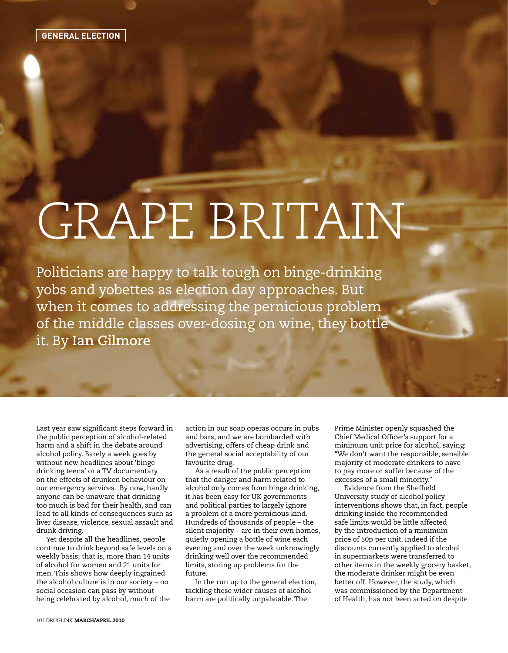## GRAPE BRITAIN

Politicians are happy to talk tough on binge-drinking yobs and yobettes as election day approaches. But when it comes to addressing the pernicious problem of the middle classes over-dosing on wine, they bottle it. By **Ian Gilmore** 

Last year saw significant steps forward in the public perception of alcohol-related harm and a shift in the debate around alcohol policy. Barely a week goes by without new headlines about 'binge drinking teens' or a TV documentary on the effects of drunken behaviour on our emergency services. By now, hardly anyone can be unaware that drinking too much is bad for their health, and can lead to all kinds of consequences such as liver disease, violence, sexual assault and drunk driving.

Yet despite all the headlines, people continue to drink beyond safe levels on a weekly basis; that is, more than 14 units of alcohol for women and 21 units for men. This shows how deeply ingrained the alcohol culture is in our society – no social occasion can pass by without being celebrated by alcohol, much of the

action in our soap operas occurs in pubs and bars, and we are bombarded with advertising, offers of cheap drink and the general social acceptability of our favourite drug.

As a result of the public perception that the danger and harm related to alcohol only comes from binge drinking, it has been easy for UK governments and political parties to largely ignore a problem of a more pernicious kind. Hundreds of thousands of people – the silent majority – are in their own homes, quietly opening a bottle of wine each evening and over the week unknowingly drinking well over the recommended limits, storing up problems for the future.

In the run up to the general election, tackling these wider causes of alcohol harm are politically unpalatable. The

Prime Minister openly squashed the Chief Medical Officer's support for a minimum unit price for alcohol, saying: "We don't want the responsible, sensible majority of moderate drinkers to have to pay more or suffer because of the excesses of a small minority."

Evidence from the Sheffield University study of alcohol policy interventions shows that, in fact, people drinking inside the recommended safe limits would be little affected by the introduction of a minimum price of 50p per unit. Indeed if the discounts currently applied to alcohol in supermarkets were transferred to other items in the weekly grocery basket, the moderate drinker might be even better off. However, the study, which was commissioned by the Department of Health, has not been acted on despite